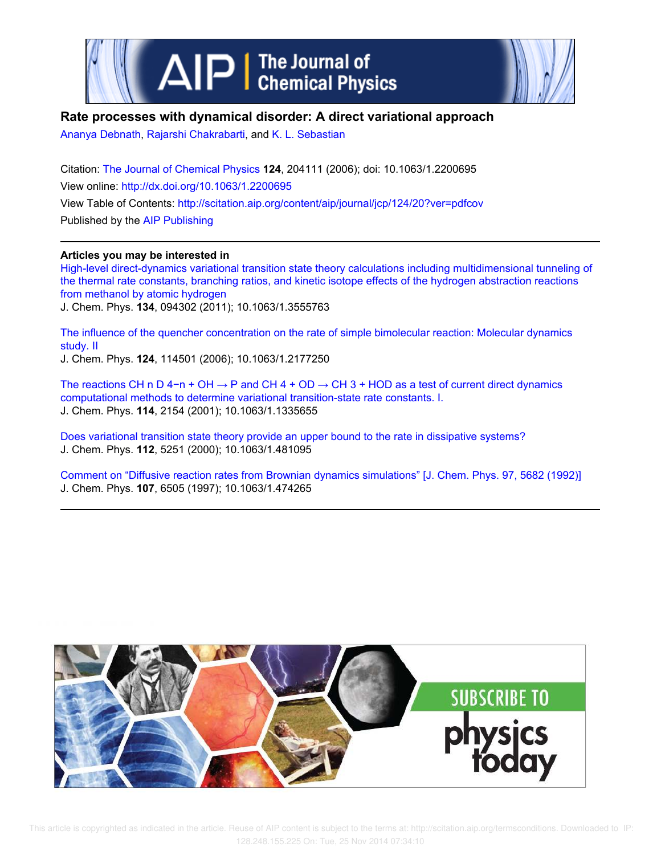

# **Rate processes with dynamical disorder: A direct variational approach**

Ananya Debnath, Rajarshi Chakrabarti, and K. L. Sebastian

Citation: The Journal of Chemical Physics **124**, 204111 (2006); doi: 10.1063/1.2200695 View online: http://dx.doi.org/10.1063/1.2200695 View Table of Contents: http://scitation.aip.org/content/aip/journal/jcp/124/20?ver=pdfcov Published by the AIP Publishing

# **Articles you may be interested in**

High-level direct-dynamics variational transition state theory calculations including multidimensional tunneling of the thermal rate constants, branching ratios, and kinetic isotope effects of the hydrogen abstraction reactions from methanol by atomic hydrogen

J. Chem. Phys. **134**, 094302 (2011); 10.1063/1.3555763

The influence of the quencher concentration on the rate of simple bimolecular reaction: Molecular dynamics study. II J. Chem. Phys. **124**, 114501 (2006); 10.1063/1.2177250

The reactions CH n D 4−n + OH → P and CH 4 + OD → CH 3 + HOD as a test of current direct dynamics computational methods to determine variational transition-state rate constants. I. J. Chem. Phys. **114**, 2154 (2001); 10.1063/1.1335655

Does variational transition state theory provide an upper bound to the rate in dissipative systems? J. Chem. Phys. **112**, 5251 (2000); 10.1063/1.481095

Comment on "Diffusive reaction rates from Brownian dynamics simulations" [J. Chem. Phys. 97, 5682 (1992)] J. Chem. Phys. **107**, 6505 (1997); 10.1063/1.474265

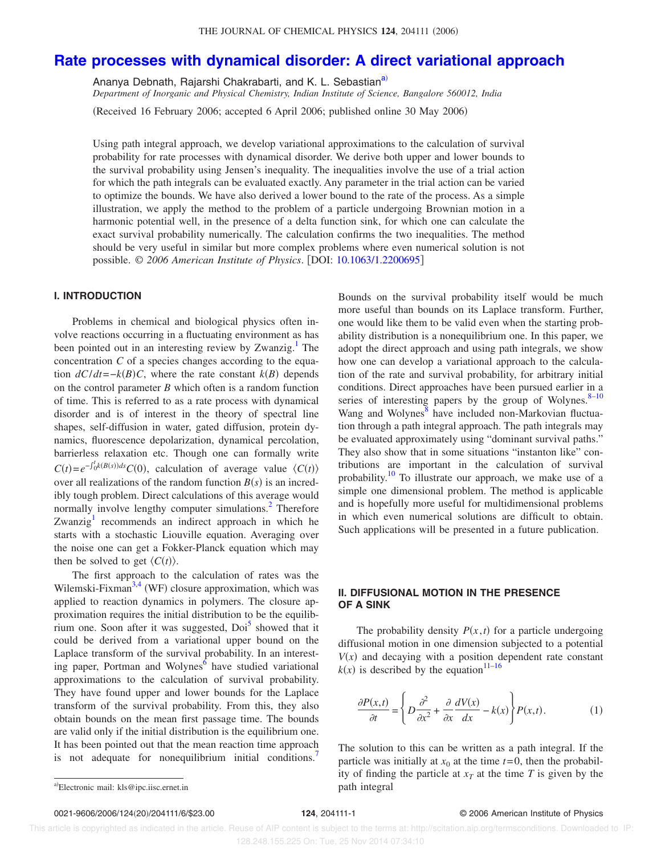# **Rate processes with dynamical disorder: A direct variational approach**

Ananya Debnath, Rajarshi Chakrabarti, and K. L. Sebastian<sup>a)</sup>

*Department of Inorganic and Physical Chemistry, Indian Institute of Science, Bangalore 560012, India*

Received 16 February 2006; accepted 6 April 2006; published online 30 May 2006-

Using path integral approach, we develop variational approximations to the calculation of survival probability for rate processes with dynamical disorder. We derive both upper and lower bounds to the survival probability using Jensen's inequality. The inequalities involve the use of a trial action for which the path integrals can be evaluated exactly. Any parameter in the trial action can be varied to optimize the bounds. We have also derived a lower bound to the rate of the process. As a simple illustration, we apply the method to the problem of a particle undergoing Brownian motion in a harmonic potential well, in the presence of a delta function sink, for which one can calculate the exact survival probability numerically. The calculation confirms the two inequalities. The method should be very useful in similar but more complex problems where even numerical solution is not possible. © *2006 American Institute of Physics*. DOI: 10.1063/1.2200695

## **I. INTRODUCTION**

Problems in chemical and biological physics often involve reactions occurring in a fluctuating environment as has been pointed out in an interesting review by Zwanzig.<sup>1</sup> The concentration *C* of a species changes according to the equation  $dC/dt = -k(B)C$ , where the rate constant  $k(B)$  depends on the control parameter *B* which often is a random function of time. This is referred to as a rate process with dynamical disorder and is of interest in the theory of spectral line shapes, self-diffusion in water, gated diffusion, protein dynamics, fluorescence depolarization, dynamical percolation, barrierless relaxation etc. Though one can formally write  $C(t) = e^{-\int_0^t k(B(s))ds} C(0)$ , calculation of average value  $\langle C(t) \rangle$ over all realizations of the random function  $B(s)$  is an incredibly tough problem. Direct calculations of this average would normally involve lengthy computer simulations.<sup>2</sup> Therefore Zwanzig<sup>1</sup> recommends an indirect approach in which he starts with a stochastic Liouville equation. Averaging over the noise one can get a Fokker-Planck equation which may then be solved to get  $\langle C(t) \rangle$ .

The first approach to the calculation of rates was the Wilemski-Fixman<sup>3,4</sup> (WF) closure approximation, which was applied to reaction dynamics in polymers. The closure approximation requires the initial distribution to be the equilibrium one. Soon after it was suggested, Doi<sup>5</sup> showed that it could be derived from a variational upper bound on the Laplace transform of the survival probability. In an interesting paper, Portman and Wolynes<sup>6</sup> have studied variational approximations to the calculation of survival probability. They have found upper and lower bounds for the Laplace transform of the survival probability. From this, they also obtain bounds on the mean first passage time. The bounds are valid only if the initial distribution is the equilibrium one. It has been pointed out that the mean reaction time approach is not adequate for nonequilibrium initial conditions.

Bounds on the survival probability itself would be much more useful than bounds on its Laplace transform. Further, one would like them to be valid even when the starting probability distribution is a nonequilibrium one. In this paper, we adopt the direct approach and using path integrals, we show how one can develop a variational approach to the calculation of the rate and survival probability, for arbitrary initial conditions. Direct approaches have been pursued earlier in a series of interesting papers by the group of Wolynes. $8-10$ Wang and Wolynes<sup>8</sup> have included non-Markovian fluctuation through a path integral approach. The path integrals may be evaluated approximately using "dominant survival paths." They also show that in some situations "instanton like" contributions are important in the calculation of survival probability.<sup>10</sup> To illustrate our approach, we make use of a simple one dimensional problem. The method is applicable and is hopefully more useful for multidimensional problems in which even numerical solutions are difficult to obtain. Such applications will be presented in a future publication.

## **II. DIFFUSIONAL MOTION IN THE PRESENCE OF A SINK**

The probability density  $P(x, t)$  for a particle undergoing diffusional motion in one dimension subjected to a potential  $V(x)$  and decaying with a position dependent rate constant  $k(x)$  is described by the equation<sup>11–16</sup>

$$
\frac{\partial P(x,t)}{\partial t} = \left\{ D \frac{\partial^2}{\partial x^2} + \frac{\partial}{\partial x} \frac{dV(x)}{dx} - k(x) \right\} P(x,t).
$$
 (1)

The solution to this can be written as a path integral. If the particle was initially at  $x_0$  at the time  $t=0$ , then the probability of finding the particle at  $x_T$  at the time *T* is given by the

a)Electronic mail: kls@ipc.iisc.ernet.in path integral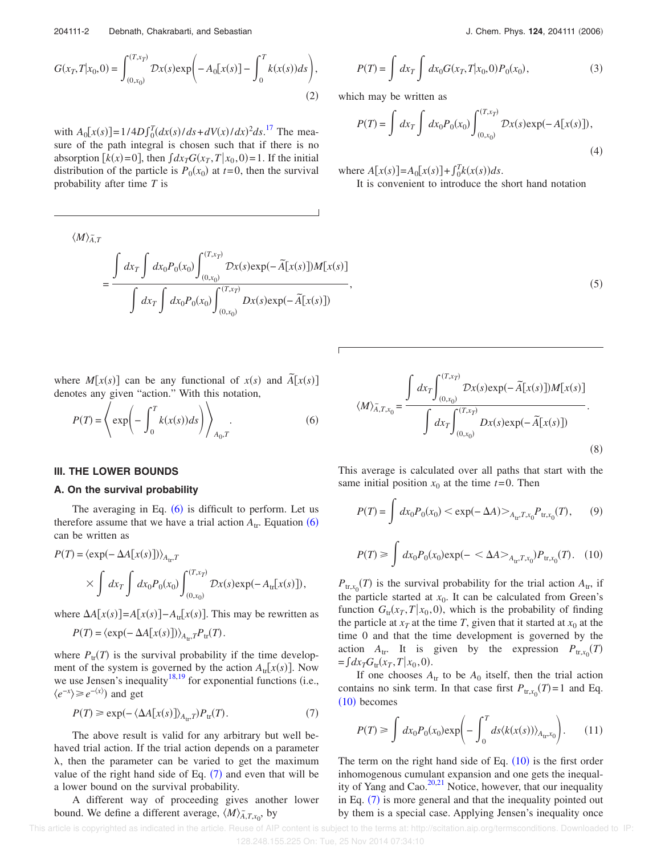$$
G(x_T, T | x_0, 0) = \int_{(0, x_0)}^{(T, x_T)} \mathcal{D}x(s) \exp\left(-A_0[x(s)] - \int_0^T k(x(s)) ds\right),\tag{2}
$$

with  $A_0[x(s)] = 1/4D \int_0^T (dx(s)/ds + dV(x)/dx)^2 ds$ .<sup>17</sup> The measure of the path integral is chosen such that if there is no absorption  $\left[k(x)=0\right]$ , then  $\int dx_T G(x_T, T | x_0, 0) = 1$ . If the initial distribution of the particle is  $P_0(x_0)$  at  $t=0$ , then the survival probability after time *T* is

$$
\langle M \rangle_{\tilde{A},T}^{\tilde{A}} = \frac{\int dx_T \int dx_0 P_0(x_0) \int_{(0,x_0)}^{(T,x_T)} \mathcal{D}x(s) \exp(-\tilde{A}[x(s)]) M[x(s)]}{\int dx_T \int dx_0 P_0(x_0) \int_{(0,x_0)}^{(T,x_T)} \mathcal{D}x(s) \exp(-\tilde{A}[x(s)])}
$$

where  $M[x(s)]$  can be any functional of  $x(s)$  and  $\tilde{A}[x(s)]$ denotes any given "action." With this notation,

$$
P(T) = \left\langle \exp\left(-\int_0^T k(x(s))ds\right) \right\rangle_{A_0,T}.
$$
 (6)

### **III. THE LOWER BOUNDS**

#### **A. On the survival probability**

The averaging in Eq.  $(6)$  is difficult to perform. Let us therefore assume that we have a trial action  $A_{tr}$ . Equation  $(6)$ can be written as

$$
P(T) = \langle \exp(-\Delta A[x(s)]) \rangle_{A_{tr}T}
$$
  
 
$$
\times \int dx_T \int dx_0 P_0(x_0) \int_{(0,x_0)}^{(T,x_T)} \mathcal{D}x(s) \exp(-A_{tr}[x(s)]),
$$

where  $\Delta A[x(s)] = A[x(s)] - A_{tr}[x(s)]$ . This may be rewritten as

$$
P(T) = \langle \exp(-\Delta A[x(s)]) \rangle_{A_{tr},T} P_{tr}(T).
$$

where  $P_{tr}(T)$  is the survival probability if the time development of the system is governed by the action  $A_{tr}[x(s)]$ . Now we use Jensen's inequality $18,19$  for exponential functions (i.e.,  $\langle e^{-x} \rangle \ge e^{-\langle x \rangle}$  and get

$$
P(T) \ge \exp(-\langle \Delta A[x(s)] \rangle_{A_{tr}}) P_{tr}(T). \tag{7}
$$

The above result is valid for any arbitrary but well behaved trial action. If the trial action depends on a parameter  $\lambda$ , then the parameter can be varied to get the maximum value of the right hand side of Eq.  $(7)$  and even that will be a lower bound on the survival probability.

A different way of proceeding gives another lower bound. We define a different average,  $\langle M \rangle_{A,T,x_0}$ , by

$$
P(T) = \int dx_T \int dx_0 G(x_T, T | x_0, 0) P_0(x_0), \qquad (3)
$$

which may be written as

$$
P(T) = \int dx_T \int dx_0 P_0(x_0) \int_{(0,x_0)}^{(T,x_T)} \mathcal{D}x(s) \exp(-A[x(s)]),
$$
\n(4)

where  $A[x(s)] = A_0[x(s)] + \int_0^T k(x(s))ds$ .

It is convenient to introduce the short hand notation

 $,$  (5)

$$
\langle M \rangle_{\tilde{A},T,x_0} = \frac{\int dx_T \int_{(0,x_0)}^{(T,x_T)} \mathcal{D}x(s) \exp(-\tilde{A}[x(s)]) M[x(s)]}{\int dx_T \int_{(0,x_0)}^{(T,x_T)} \mathcal{D}x(s) \exp(-\tilde{A}[x(s)])}.
$$
\n(8)

This average is calculated over all paths that start with the same initial position  $x_0$  at the time  $t=0$ . Then

$$
P(T) = \int dx_0 P_0(x_0) < \exp(-\Delta A) >_{A_{tr}, T, x_0} P_{tr, x_0}(T), \tag{9}
$$

$$
P(T) \ge \int dx_0 P_0(x_0) \exp(-\langle \Delta A \rangle_{A_{\text{tr}}, T, x_0}) P_{\text{tr}, x_0}(T). \quad (10)
$$

 $P_{tr,x_0}(T)$  is the survival probability for the trial action  $A_{tr}$ , if the particle started at  $x_0$ . It can be calculated from Green's function  $G_{tr}(x_T, T | x_0, 0)$ , which is the probability of finding the particle at  $x_T$  at the time *T*, given that it started at  $x_0$  at the time 0 and that the time development is governed by the action  $A_{tr}$ . It is given by the expression  $P_{tr,x_0}(T)$  $=\int dx_T G_{\text{tr}}(x_T, T | x_0, 0).$ 

If one chooses  $A_{tr}$  to be  $A_0$  itself, then the trial action contains no sink term. In that case first  $P_{tr,x_0}(T)=1$  and Eq.  $(10)$  becomes

$$
P(T) \ge \int dx_0 P_0(x_0) \exp\left(-\int_0^T ds \langle k(x(s))\rangle_{A_{tr}x_0}\right).
$$
 (11)

The term on the right hand side of Eq.  $(10)$  is the first order inhomogenous cumulant expansion and one gets the inequality of Yang and Cao. $20,21$  Notice, however, that our inequality in Eq.  $(7)$  is more general and that the inequality pointed out by them is a special case. Applying Jensen's inequality once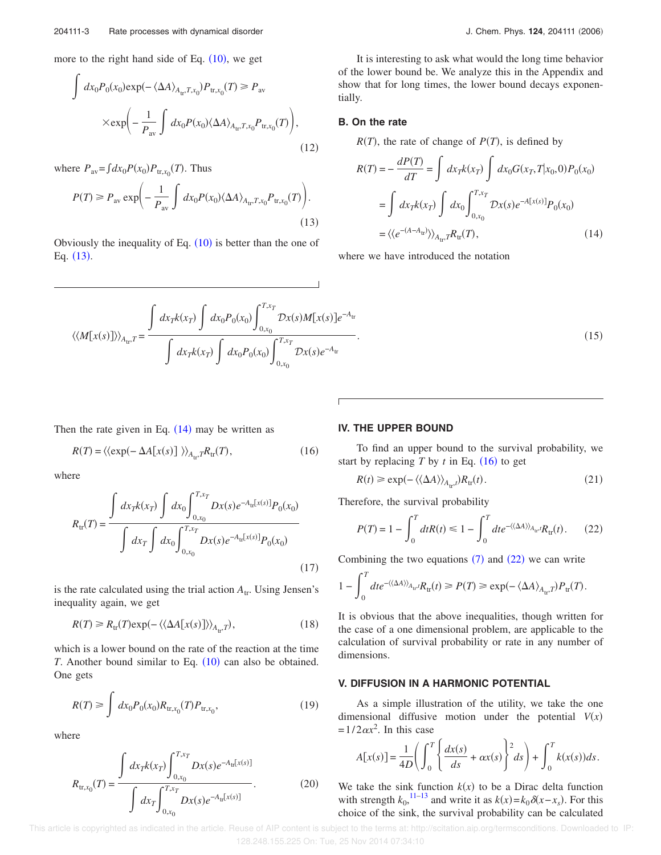more to the right hand side of Eq.  $(10)$ , we get

$$
\int dx_0 P_0(x_0) \exp(-\langle \Delta A \rangle_{A_{\text{tr}}, T, x_0}) P_{\text{tr}, x_0}(T) \ge P_{\text{av}}
$$

$$
\times \exp\left(-\frac{1}{P_{\text{av}}}\int dx_0 P(x_0) \langle \Delta A \rangle_{A_{\text{tr}}, T, x_0} P_{\text{tr}, x_0}(T)\right),\tag{12}
$$

where  $P_{\text{av}} = \int dx_0 P(x_0) P_{\text{tr},x_0}(T)$ . Thus

$$
P(T) \ge P_{\text{av}} \exp\left(-\frac{1}{P_{\text{av}}} \int dx_0 P(x_0) \langle \Delta A \rangle_{A_{\text{tr}}} r_{,x_0} P_{\text{tr},x_0}(T)\right).
$$
\n(13)

Obviously the inequality of Eq.  $(10)$  is better than the one of Eq.  $(13)$ .

$$
\langle\langle M[x(s)]\rangle\rangle_{A_{\text{tr}}T} = \frac{\int dx_T k(x_T) \int dx_0 P_0(x_0) \int_{0,x_0}^{T,x_T} \mathcal{D}x(s)M[x(s)]e^{-A_{\text{tr}}}
$$

$$
\int dx_T k(x_T) \int dx_0 P_0(x_0) \int_{0,x_0}^{T,x_T} \mathcal{D}x(s)e^{-A_{\text{tr}}}
$$

It is interesting to ask what would the long time behavior of the lower bound be. We analyze this in the Appendix and show that for long times, the lower bound decays exponentially.

## **B. On the rate**

 $R(T)$ , the rate of change of  $P(T)$ , is defined by

$$
R(T) = -\frac{dP(T)}{dT} = \int dx_T k(x_T) \int dx_0 G(x_T, T | x_0, 0) P_0(x_0)
$$
  
= 
$$
\int dx_T k(x_T) \int dx_0 \int_{0, x_0}^{T, x_T} \mathcal{D}x(s) e^{-A[x(s)]} P_0(x_0)
$$
  
= 
$$
\langle \langle e^{-(A - A_{tr})} \rangle \rangle_{A_{tr}} T R_{tr}(T),
$$
 (14)

where we have introduced the notation

.  $(15)$ 

Then the rate given in Eq.  $(14)$  may be written as

$$
R(T) = \langle \langle \exp(-\Delta A[x(s)] \rangle \rangle_{A_{tr}} r R_{tr}(T), \tag{16}
$$

where

$$
R_{\rm tr}(T) = \frac{\int dx_T k(x_T) \int dx_0 \int_{0, x_0}^{T, x_T} Dx(s) e^{-A_{\rm tr}[x(s)]} P_0(x_0)}{\int dx_T \int dx_0 \int_{0, x_0}^{T, x_T} Dx(s) e^{-A_{\rm tr}[x(s)]} P_0(x_0)}
$$
(17)

is the rate calculated using the trial action  $A_{tr}$ . Using Jensen's inequality again, we get

$$
R(T) \ge R_{tr}(T) \exp(-\langle \langle \Delta A[x(s)] \rangle \rangle_{A_{tr}}), \tag{18}
$$

which is a lower bound on the rate of the reaction at the time *T*. Another bound similar to Eq.  $(10)$  can also be obtained. One gets

$$
R(T) \ge \int dx_0 P_0(x_0) R_{\text{tr},x_0}(T) P_{\text{tr},x_0},
$$
\n(19)

where

$$
R_{\text{tr},x_0}(T) = \frac{\int dx_T k(x_T) \int_{0,x_0}^{T,x_T} Dx(s)e^{-A_{\text{tr}}[x(s)]}}{\int dx_T \int_{0,x_0}^{T,x_T} Dx(s)e^{-A_{\text{tr}}[x(s)]}}.
$$
(20)

## **IV. THE UPPER BOUND**

To find an upper bound to the survival probability, we start by replacing  $T$  by  $t$  in Eq.  $(16)$  to get

$$
R(t) \ge \exp(-\langle \langle \Delta A \rangle \rangle_{A_{\text{tr}}t}) R_{\text{tr}}(t). \tag{21}
$$

Therefore, the survival probability

$$
P(T) = 1 - \int_0^T dt R(t) \le 1 - \int_0^T dt e^{-\langle \langle \Delta A \rangle \rangle_{A_{\text{tr}}t}} R_{\text{tr}}(t).
$$
 (22)

Combining the two equations  $(7)$  and  $(22)$  we can write

$$
1 - \int_0^T dt e^{-\langle \langle \Delta A \rangle \rangle_{A_{\text{tr}}}, t} R_{\text{tr}}(t) \ge P(T) \ge \exp(-\langle \Delta A \rangle_{A_{\text{tr}}}, t) P_{\text{tr}}(T).
$$

It is obvious that the above inequalities, though written for the case of a one dimensional problem, are applicable to the calculation of survival probability or rate in any number of dimensions.

### **V. DIFFUSION IN A HARMONIC POTENTIAL**

As a simple illustration of the utility, we take the one dimensional diffusive motion under the potential  $V(x)$  $=1/2 \alpha x^2$ . In this case

$$
A[x(s)] = \frac{1}{4D} \left( \int_0^T \left\{ \frac{dx(s)}{ds} + \alpha x(s) \right\}^2 ds \right) + \int_0^T k(x(s)) ds.
$$

We take the sink function  $k(x)$  to be a Dirac delta function with strength  $k_0$ , <sup>11–13</sup> and write it as  $k(x) = k_0 \delta(x - x_s)$ . For this choice of the sink, the survival probability can be calculated

 This article is copyrighted as indicated in the article. Reuse of AIP content is subject to the terms at: http://scitation.aip.org/termsconditions. Downloaded to IP: 128.248.155.225 On: Tue, 25 Nov 2014 07:34:10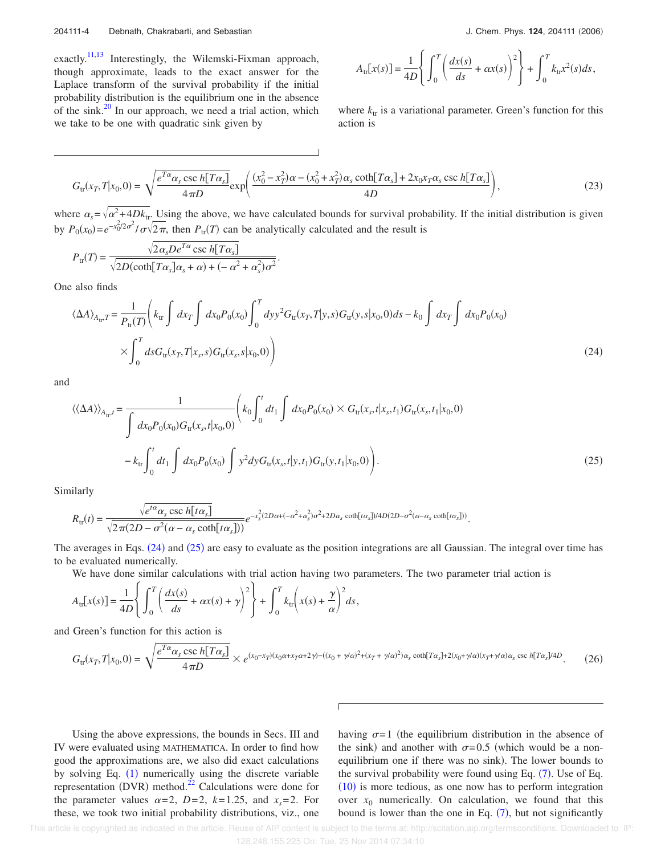exactly.<sup>11,13</sup> Interestingly, the Wilemski-Fixman approach, though approximate, leads to the exact answer for the Laplace transform of the survival probability if the initial probability distribution is the equilibrium one in the absence of the sink. $^{20}$  In our approach, we need a trial action, which we take to be one with quadratic sink given by

$$
A_{\text{tr}}[x(s)] = \frac{1}{4D} \left\{ \int_0^T \left( \frac{dx(s)}{ds} + \alpha x(s) \right)^2 \right\} + \int_0^T k_{\text{tr}} x^2(s) ds,
$$

where  $k_{tr}$  is a variational parameter. Green's function for this action is

$$
G_{\text{tr}}(x_T, T | x_0, 0) = \sqrt{\frac{e^{T\alpha}\alpha_s \csc h [T\alpha_s]}{4\pi D}} \exp\left(\frac{(x_0^2 - x_T^2)\alpha - (x_0^2 + x_T^2)\alpha_s \coth [T\alpha_s] + 2x_0x_T\alpha_s \csc h [T\alpha_s]}{4D}\right),\tag{23}
$$

where  $\alpha_s = \sqrt{\alpha^2 + 4Dk_{tr}}$ . Using the above, we have calculated bounds for survival probability. If the initial distribution is given by  $P_0(x_0) = e^{-x_0^2/2\sigma^2} / \sigma \sqrt{2\pi}$ , then  $P_{tr}(T)$  can be analytically calculated and the result is

$$
P_{\rm tr}(T) = \frac{\sqrt{2\alpha_s D e^{T\alpha} \csc h[T\alpha_s]}}{\sqrt{2D(\coth[T\alpha_s]\alpha_s + \alpha) + (-\alpha^2 + \alpha_s^2)\sigma^2}}.
$$

One also finds

$$
\langle \Delta A \rangle_{A_{tr}} = \frac{1}{P_{tr}(T)} \Bigg( k_{tr} \int dx_{T} \int dx_{0} P_{0}(x_{0}) \int_{0}^{T} dy y^{2} G_{tr}(x_{T}, T | y, s) G_{tr}(y, s | x_{0}, 0) ds - k_{0} \int dx_{T} \int dx_{0} P_{0}(x_{0})
$$
  

$$
\times \int_{0}^{T} ds G_{tr}(x_{T}, T | x_{s}, s) G_{tr}(x_{s}, s | x_{0}, 0) \Bigg)
$$
 (24)

and

$$
\langle \langle \Delta A \rangle \rangle_{A_{tr}t} = \frac{1}{\int dx_0 P_0(x_0) G_{tr}(x_s, t | x_0, 0)} \left( k_0 \int_0^t dt_1 \int dx_0 P_0(x_0) \times G_{tr}(x_s, t | x_s, t_1) G_{tr}(x_s, t_1 | x_0, 0) \right. \\
\left. - k_{tr} \int_0^t dt_1 \int dx_0 P_0(x_0) \int y^2 dy G_{tr}(x_s, t | y, t_1) G_{tr}(y, t_1 | x_0, 0) \right). \tag{25}
$$

Similarly

$$
R_{\rm tr}(t) = \frac{\sqrt{e^{t\alpha}\alpha_s \csc h[t\alpha_s]}}{\sqrt{2\pi(2D - \sigma^2(\alpha - \alpha_s \coth[t\alpha_s]))}} e^{-x_s^2(2D\alpha + (-\alpha^2 + \alpha_s^2)\sigma^2 + 2D\alpha_s \coth[t\alpha_s])/4D(2D - \sigma^2(\alpha - \alpha_s \coth[t\alpha_s]))}.
$$

The averages in Eqs. (24) and (25) are easy to evaluate as the position integrations are all Gaussian. The integral over time has to be evaluated numerically.

We have done similar calculations with trial action having two parameters. The two parameter trial action is

$$
A_{\text{tr}}[x(s)] = \frac{1}{4D} \left\{ \int_0^T \left( \frac{dx(s)}{ds} + \alpha x(s) + \gamma \right)^2 \right\} + \int_0^T k_{\text{tr}} \left( x(s) + \frac{\gamma}{\alpha} \right)^2 ds,
$$

and Green's function for this action is

$$
G_{\text{tr}}(x_T, T | x_0, 0) = \sqrt{\frac{e^{T\alpha}\alpha_s \csc h [T\alpha_s]}{4\pi D}} \times e^{(x_0 - x_T)(x_0\alpha + x_T\alpha + 2\gamma) - ((x_0 + \gamma/\alpha)^2 + (x_T + \gamma/\alpha)^2)\alpha_s \coth [T\alpha_s] + 2(x_0 + \gamma/\alpha)(x_T + \gamma/\alpha)\alpha_s \csc h [T\alpha_s]/4D}.
$$
 (26)

Using the above expressions, the bounds in Secs. III and IV were evaluated using MATHEMATICA. In order to find how good the approximations are, we also did exact calculations by solving Eq.  $(1)$  numerically using the discrete variable representation (DVR) method. $^{22}$  Calculations were done for the parameter values  $\alpha = 2$ ,  $D=2$ ,  $k=1.25$ , and  $x_s = 2$ . For these, we took two initial probability distributions, viz., one

having  $\sigma = 1$  (the equilibrium distribution in the absence of the sink) and another with  $\sigma = 0.5$  (which would be a nonequilibrium one if there was no sink). The lower bounds to the survival probability were found using Eq.  $(7)$ . Use of Eq.  $(10)$  is more tedious, as one now has to perform integration over  $x_0$  numerically. On calculation, we found that this bound is lower than the one in Eq.  $(7)$ , but not significantly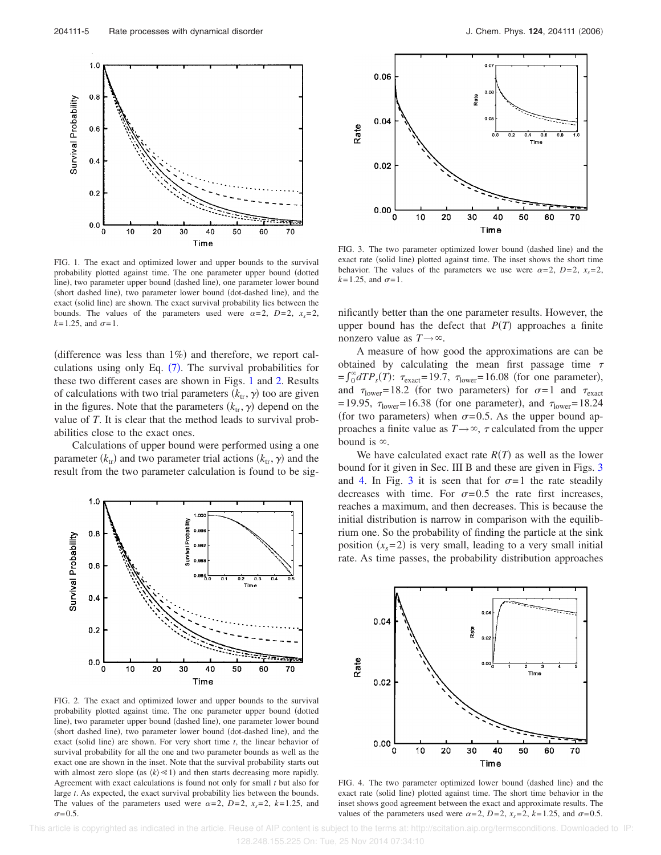

FIG. 1. The exact and optimized lower and upper bounds to the survival probability plotted against time. The one parameter upper bound (dotted line), two parameter upper bound (dashed line), one parameter lower bound (short dashed line), two parameter lower bound (dot-dashed line), and the exact (solid line) are shown. The exact survival probability lies between the bounds. The values of the parameters used were  $\alpha=2$ ,  $D=2$ ,  $x_s=2$ ,  $k = 1.25$ , and  $\sigma = 1$ .

(difference was less than  $1\%$ ) and therefore, we report calculations using only Eq.  $(7)$ . The survival probabilities for these two different cases are shown in Figs. 1 and 2. Results of calculations with two trial parameters  $(k_{tr}, \gamma)$  too are given in the figures. Note that the parameters  $(k_{tr}, \gamma)$  depend on the value of *T*. It is clear that the method leads to survival probabilities close to the exact ones.

Calculations of upper bound were performed using a one parameter  $(k_{tr})$  and two parameter trial actions  $(k_{tr}, \gamma)$  and the result from the two parameter calculation is found to be sig-



FIG. 2. The exact and optimized lower and upper bounds to the survival probability plotted against time. The one parameter upper bound (dotted line), two parameter upper bound (dashed line), one parameter lower bound (short dashed line), two parameter lower bound (dot-dashed line), and the exact (solid line) are shown. For very short time  $t$ , the linear behavior of survival probability for all the one and two parameter bounds as well as the exact one are shown in the inset. Note that the survival probability starts out with almost zero slope (as  $\langle k \rangle \ll 1$ ) and then starts decreasing more rapidly. Agreement with exact calculations is found not only for small *t* but also for large *t*. As expected, the exact survival probability lies between the bounds. The values of the parameters used were  $\alpha=2$ ,  $D=2$ ,  $x<sub>s</sub>=2$ ,  $k=1.25$ , and  $\sigma$  = 0.5.



FIG. 3. The two parameter optimized lower bound (dashed line) and the exact rate (solid line) plotted against time. The inset shows the short time behavior. The values of the parameters we use were  $\alpha = 2$ ,  $D=2$ ,  $x_s = 2$ ,  $k = 1.25$ , and  $\sigma = 1$ .

nificantly better than the one parameter results. However, the upper bound has the defect that  $P(T)$  approaches a finite nonzero value as  $T \rightarrow \infty$ .

A measure of how good the approximations are can be obtained by calculating the mean first passage time  $\tau$  $f_0^{\infty} dT P_s(T)$ :  $\tau_{\text{exact}} = 19.7$ ,  $\tau_{\text{lower}} = 16.08$  (for one parameter), and  $\tau_{\text{lower}} = 18.2$  (for two parameters) for  $\sigma = 1$  and  $\tau_{\text{exact}}$ = 19.95,  $\tau_{\text{lower}}$ = 16.38 (for one parameter), and  $\tau_{\text{lower}}$ = 18.24 (for two parameters) when  $\sigma = 0.5$ . As the upper bound approaches a finite value as  $T \rightarrow \infty$ ,  $\tau$  calculated from the upper bound is  $\infty$ .

We have calculated exact rate  $R(T)$  as well as the lower bound for it given in Sec. III B and these are given in Figs. 3 and 4. In Fig. 3 it is seen that for  $\sigma = 1$  the rate steadily decreases with time. For  $\sigma = 0.5$  the rate first increases, reaches a maximum, and then decreases. This is because the initial distribution is narrow in comparison with the equilibrium one. So the probability of finding the particle at the sink position  $(x_s = 2)$  is very small, leading to a very small initial rate. As time passes, the probability distribution approaches



FIG. 4. The two parameter optimized lower bound (dashed line) and the exact rate (solid line) plotted against time. The short time behavior in the inset shows good agreement between the exact and approximate results. The values of the parameters used were  $\alpha = 2$ ,  $D=2$ ,  $x_s = 2$ ,  $k=1.25$ , and  $\sigma=0.5$ .

 This article is copyrighted as indicated in the article. Reuse of AIP content is subject to the terms at: http://scitation.aip.org/termsconditions. Downloaded to IP: 128.248.155.225 On: Tue, 25 Nov 2014 07:34:10